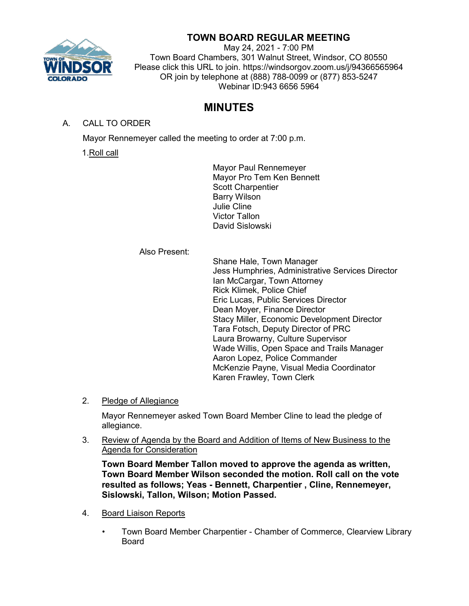

# **TOWN BOARD REGULAR MEETING**

May 24, 2021 - 7:00 PM Town Board Chambers, 301 Walnut Street, Windsor, CO 80550 Please click this URL to join. https://windsorgov.zoom.us/j/94366565964 OR join by telephone at (888) 788-0099 or (877) 853-5247 Webinar ID:943 6656 5964

# **MINUTES**

A. CALL TO ORDER

Mayor Rennemeyer called the meeting to order at 7:00 p.m.

1.Roll call

Mayor Paul Rennemeyer Mayor Pro Tem Ken Bennett Scott Charpentier Barry Wilson Julie Cline Victor Tallon David Sislowski

Also Present:

Shane Hale, Town Manager Jess Humphries, Administrative Services Director Ian McCargar, Town Attorney Rick Klimek, Police Chief Eric Lucas, Public Services Director Dean Moyer, Finance Director Stacy Miller, Economic Development Director Tara Fotsch, Deputy Director of PRC Laura Browarny, Culture Supervisor Wade Willis, Open Space and Trails Manager Aaron Lopez, Police Commander McKenzie Payne, Visual Media Coordinator Karen Frawley, Town Clerk

2. Pledge of Allegiance

Mayor Rennemeyer asked Town Board Member Cline to lead the pledge of allegiance.

3. Review of Agenda by the Board and Addition of Items of New Business to the Agenda for Consideration

**Town Board Member Tallon moved to approve the agenda as written, Town Board Member Wilson seconded the motion. Roll call on the vote resulted as follows; Yeas - Bennett, Charpentier , Cline, Rennemeyer, Sislowski, Tallon, Wilson; Motion Passed.**

- 4. Board Liaison Reports
	- Town Board Member Charpentier Chamber of Commerce, Clearview Library Board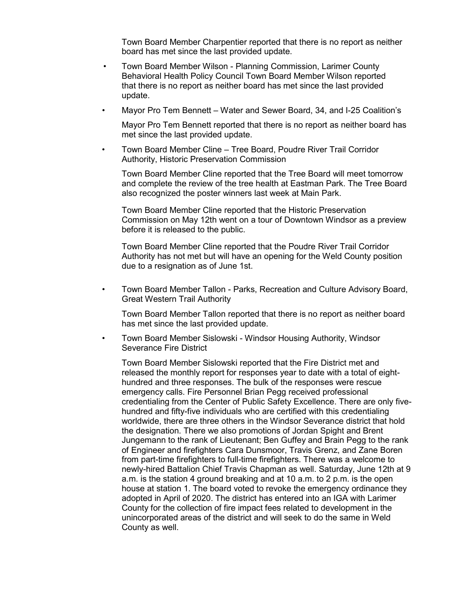Town Board Member Charpentier reported that there is no report as neither board has met since the last provided update.

- Town Board Member Wilson Planning Commission, Larimer County Behavioral Health Policy Council Town Board Member Wilson reported that there is no report as neither board has met since the last provided update.
- Mayor Pro Tem Bennett Water and Sewer Board, 34, and I-25 Coalition's

Mayor Pro Tem Bennett reported that there is no report as neither board has met since the last provided update.

• Town Board Member Cline – Tree Board, Poudre River Trail Corridor Authority, Historic Preservation Commission

Town Board Member Cline reported that the Tree Board will meet tomorrow and complete the review of the tree health at Eastman Park. The Tree Board also recognized the poster winners last week at Main Park.

Town Board Member Cline reported that the Historic Preservation Commission on May 12th went on a tour of Downtown Windsor as a preview before it is released to the public.

Town Board Member Cline reported that the Poudre River Trail Corridor Authority has not met but will have an opening for the Weld County position due to a resignation as of June 1st.

• Town Board Member Tallon - Parks, Recreation and Culture Advisory Board, Great Western Trail Authority

Town Board Member Tallon reported that there is no report as neither board has met since the last provided update.

• Town Board Member Sislowski - Windsor Housing Authority, Windsor Severance Fire District

Town Board Member Sislowski reported that the Fire District met and released the monthly report for responses year to date with a total of eighthundred and three responses. The bulk of the responses were rescue emergency calls. Fire Personnel Brian Pegg received professional credentialing from the Center of Public Safety Excellence. There are only fivehundred and fifty-five individuals who are certified with this credentialing worldwide, there are three others in the Windsor Severance district that hold the designation. There we also promotions of Jordan Spight and Brent Jungemann to the rank of Lieutenant; Ben Guffey and Brain Pegg to the rank of Engineer and firefighters Cara Dunsmoor, Travis Grenz, and Zane Boren from part-time firefighters to full-time firefighters. There was a welcome to newly-hired Battalion Chief Travis Chapman as well. Saturday, June 12th at 9 a.m. is the station 4 ground breaking and at 10 a.m. to 2 p.m. is the open house at station 1. The board voted to revoke the emergency ordinance they adopted in April of 2020. The district has entered into an IGA with Larimer County for the collection of fire impact fees related to development in the unincorporated areas of the district and will seek to do the same in Weld County as well.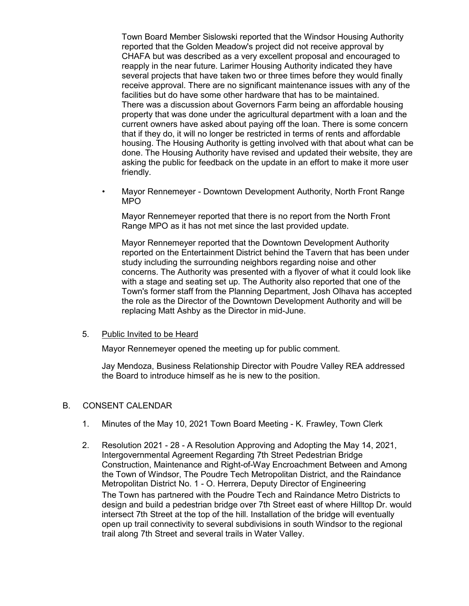Town Board Member Sislowski reported that the Windsor Housing Authority reported that the Golden Meadow's project did not receive approval by CHAFA but was described as a very excellent proposal and encouraged to reapply in the near future. Larimer Housing Authority indicated they have several projects that have taken two or three times before they would finally receive approval. There are no significant maintenance issues with any of the facilities but do have some other hardware that has to be maintained. There was a discussion about Governors Farm being an affordable housing property that was done under the agricultural department with a loan and the current owners have asked about paying off the loan. There is some concern that if they do, it will no longer be restricted in terms of rents and affordable housing. The Housing Authority is getting involved with that about what can be done. The Housing Authority have revised and updated their website, they are asking the public for feedback on the update in an effort to make it more user friendly.

• Mayor Rennemeyer - Downtown Development Authority, North Front Range MPO

Mayor Rennemeyer reported that there is no report from the North Front Range MPO as it has not met since the last provided update.

Mayor Rennemeyer reported that the Downtown Development Authority reported on the Entertainment District behind the Tavern that has been under study including the surrounding neighbors regarding noise and other concerns. The Authority was presented with a flyover of what it could look like with a stage and seating set up. The Authority also reported that one of the Town's former staff from the Planning Department, Josh Olhava has accepted the role as the Director of the Downtown Development Authority and will be replacing Matt Ashby as the Director in mid-June.

### 5. Public Invited to be Heard

Mayor Rennemeyer opened the meeting up for public comment.

Jay Mendoza, Business Relationship Director with Poudre Valley REA addressed the Board to introduce himself as he is new to the position.

### B. CONSENT CALENDAR

- 1. Minutes of the May 10, 2021 Town Board Meeting K. Frawley, Town Clerk
- 2. Resolution 2021 28 A Resolution Approving and Adopting the May 14, 2021, Intergovernmental Agreement Regarding 7th Street Pedestrian Bridge Construction, Maintenance and Right-of-Way Encroachment Between and Among the Town of Windsor, The Poudre Tech Metropolitan District, and the Raindance Metropolitan District No. 1 - O. Herrera, Deputy Director of Engineering The Town has partnered with the Poudre Tech and Raindance Metro Districts to design and build a pedestrian bridge over 7th Street east of where Hilltop Dr. would intersect 7th Street at the top of the hill. Installation of the bridge will eventually open up trail connectivity to several subdivisions in south Windsor to the regional trail along 7th Street and several trails in Water Valley.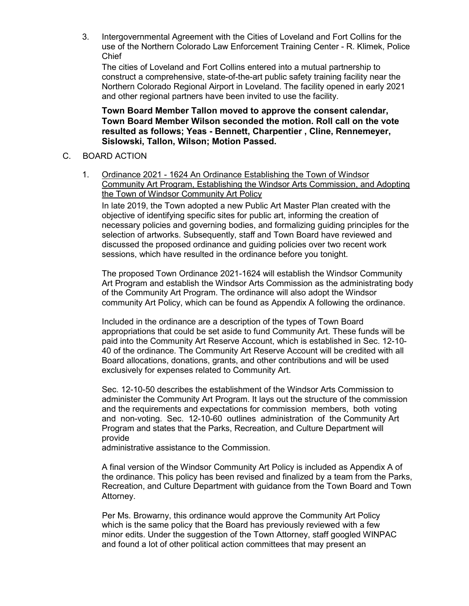3. Intergovernmental Agreement with the Cities of Loveland and Fort Collins for the use of the Northern Colorado Law Enforcement Training Center - R. Klimek, Police Chief

The cities of Loveland and Fort Collins entered into a mutual partnership to construct a comprehensive, state-of-the-art public safety training facility near the Northern Colorado Regional Airport in Loveland. The facility opened in early 2021 and other regional partners have been invited to use the facility.

## **Town Board Member Tallon moved to approve the consent calendar, Town Board Member Wilson seconded the motion. Roll call on the vote resulted as follows; Yeas - Bennett, Charpentier , Cline, Rennemeyer, Sislowski, Tallon, Wilson; Motion Passed.**

## C. BOARD ACTION

1. Ordinance 2021 - 1624 An Ordinance Establishing the Town of Windsor Community Art Program, Establishing the Windsor Arts Commission, and Adopting the Town of Windsor Community Art Policy

In late 2019, the Town adopted a new Public Art Master Plan created with the objective of identifying specific sites for public art, informing the creation of necessary policies and governing bodies, and formalizing guiding principles for the selection of artworks. Subsequently, staff and Town Board have reviewed and discussed the proposed ordinance and guiding policies over two recent work sessions, which have resulted in the ordinance before you tonight.

The proposed Town Ordinance 2021-1624 will establish the Windsor Community Art Program and establish the Windsor Arts Commission as the administrating body of the Community Art Program. The ordinance will also adopt the Windsor community Art Policy, which can be found as Appendix A following the ordinance.

Included in the ordinance are a description of the types of Town Board appropriations that could be set aside to fund Community Art. These funds will be paid into the Community Art Reserve Account, which is established in Sec. 12-10- 40 of the ordinance. The Community Art Reserve Account will be credited with all Board allocations, donations, grants, and other contributions and will be used exclusively for expenses related to Community Art.

Sec. 12-10-50 describes the establishment of the Windsor Arts Commission to administer the Community Art Program. It lays out the structure of the commission and the requirements and expectations for commission members, both voting and non-voting. Sec. 12-10-60 outlines administration of the Community Art Program and states that the Parks, Recreation, and Culture Department will provide

administrative assistance to the Commission.

A final version of the Windsor Community Art Policy is included as Appendix A of the ordinance. This policy has been revised and finalized by a team from the Parks, Recreation, and Culture Department with guidance from the Town Board and Town Attorney.

Per Ms. Browarny, this ordinance would approve the Community Art Policy which is the same policy that the Board has previously reviewed with a few minor edits. Under the suggestion of the Town Attorney, staff googled WINPAC and found a lot of other political action committees that may present an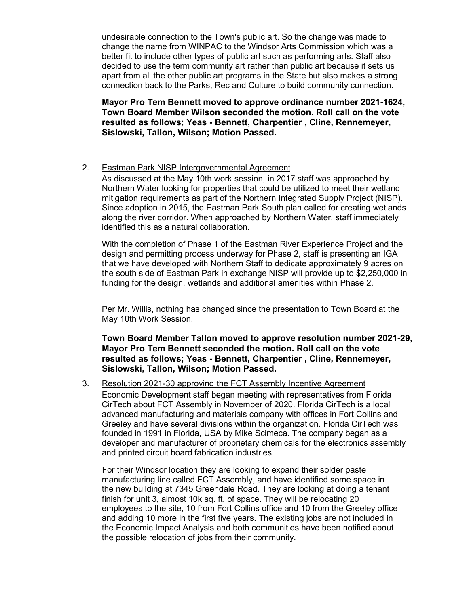undesirable connection to the Town's public art. So the change was made to change the name from WINPAC to the Windsor Arts Commission which was a better fit to include other types of public art such as performing arts. Staff also decided to use the term community art rather than public art because it sets us apart from all the other public art programs in the State but also makes a strong connection back to the Parks, Rec and Culture to build community connection.

**Mayor Pro Tem Bennett moved to approve ordinance number 2021-1624, Town Board Member Wilson seconded the motion. Roll call on the vote resulted as follows; Yeas - Bennett, Charpentier , Cline, Rennemeyer, Sislowski, Tallon, Wilson; Motion Passed.**

### 2. Eastman Park NISP Intergovernmental Agreement

As discussed at the May 10th work session, in 2017 staff was approached by Northern Water looking for properties that could be utilized to meet their wetland mitigation requirements as part of the Northern Integrated Supply Project (NISP). Since adoption in 2015, the Eastman Park South plan called for creating wetlands along the river corridor. When approached by Northern Water, staff immediately identified this as a natural collaboration.

With the completion of Phase 1 of the Eastman River Experience Project and the design and permitting process underway for Phase 2, staff is presenting an IGA that we have developed with Northern Staff to dedicate approximately 9 acres on the south side of Eastman Park in exchange NISP will provide up to \$2,250,000 in funding for the design, wetlands and additional amenities within Phase 2.

Per Mr. Willis, nothing has changed since the presentation to Town Board at the May 10th Work Session.

**Town Board Member Tallon moved to approve resolution number 2021-29, Mayor Pro Tem Bennett seconded the motion. Roll call on the vote resulted as follows; Yeas - Bennett, Charpentier , Cline, Rennemeyer, Sislowski, Tallon, Wilson; Motion Passed.**

3. Resolution 2021-30 approving the FCT Assembly Incentive Agreement Economic Development staff began meeting with representatives from Florida CirTech about FCT Assembly in November of 2020. Florida CirTech is a local advanced manufacturing and materials company with offices in Fort Collins and Greeley and have several divisions within the organization. Florida CirTech was founded in 1991 in Florida, USA by Mike Scimeca. The company began as a developer and manufacturer of proprietary chemicals for the electronics assembly and printed circuit board fabrication industries.

For their Windsor location they are looking to expand their solder paste manufacturing line called FCT Assembly, and have identified some space in the new building at 7345 Greendale Road. They are looking at doing a tenant finish for unit 3, almost 10k sq. ft. of space. They will be relocating 20 employees to the site, 10 from Fort Collins office and 10 from the Greeley office and adding 10 more in the first five years. The existing jobs are not included in the Economic Impact Analysis and both communities have been notified about the possible relocation of jobs from their community.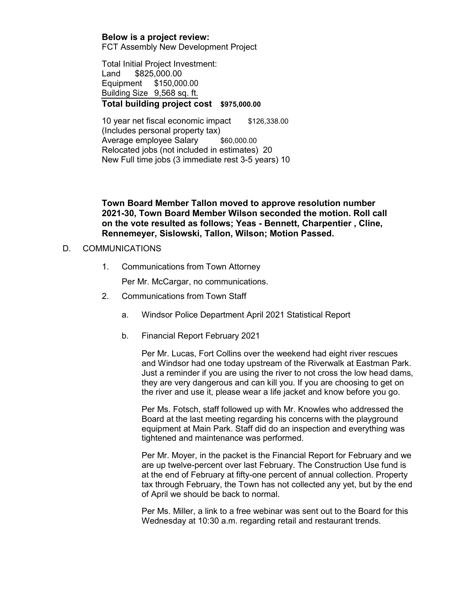**Below is a project review:** FCT Assembly New Development Project

Total Initial Project Investment: Land \$825,000.00

Equipment \$150,000.00 Building Size 9,568 sq. ft. **Total building project cost \$975,000.00**

10 year net fiscal economic impact \$126,338.00 (Includes personal property tax) Average employee Salary \$60,000.00 Relocated jobs (not included in estimates) 20 New Full time jobs (3 immediate rest 3-5 years) 10

**Town Board Member Tallon moved to approve resolution number 2021-30, Town Board Member Wilson seconded the motion. Roll call on the vote resulted as follows; Yeas - Bennett, Charpentier , Cline, Rennemeyer, Sislowski, Tallon, Wilson; Motion Passed.**

## D. COMMUNICATIONS

1. Communications from Town Attorney

Per Mr. McCargar, no communications.

- 2. Communications from Town Staff
	- a. Windsor Police Department April 2021 Statistical Report
	- b. Financial Report February 2021

Per Mr. Lucas, Fort Collins over the weekend had eight river rescues and Windsor had one today upstream of the Riverwalk at Eastman Park. Just a reminder if you are using the river to not cross the low head dams, they are very dangerous and can kill you. If you are choosing to get on the river and use it, please wear a life jacket and know before you go.

Per Ms. Fotsch, staff followed up with Mr. Knowles who addressed the Board at the last meeting regarding his concerns with the playground equipment at Main Park. Staff did do an inspection and everything was tightened and maintenance was performed.

Per Mr. Moyer, in the packet is the Financial Report for February and we are up twelve-percent over last February. The Construction Use fund is at the end of February at fifty-one percent of annual collection. Property tax through February, the Town has not collected any yet, but by the end of April we should be back to normal.

Per Ms. Miller, a link to a free webinar was sent out to the Board for this Wednesday at 10:30 a.m. regarding retail and restaurant trends.